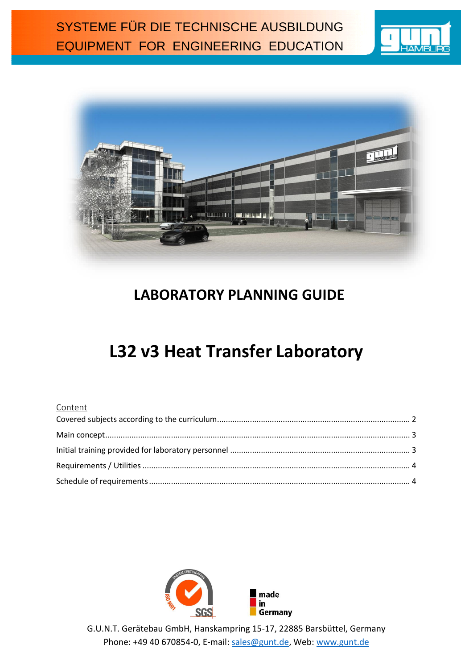



## **LABORATORY PLANNING GUIDE**

# **L32 v3 Heat Transfer Laboratory**

#### Content



G.U.N.T. Gerätebau GmbH, Hanskampring 15-17, 22885 Barsbüttel, Germany Phone: +49 40 670854-0, E-mail: [sales@gunt.de,](mailto:sales@gunt.de) Web: [www.gunt.de](http://www.gunt.de/)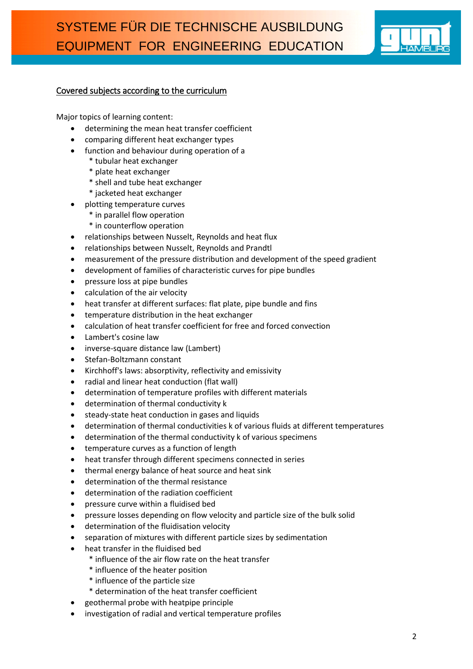

#### <span id="page-1-0"></span>Covered subjects according to the curriculum

Major topics of learning content:

- determining the mean heat transfer coefficient
- comparing different heat exchanger types
- function and behaviour during operation of a
	- \* tubular heat exchanger
		- \* plate heat exchanger
		- \* shell and tube heat exchanger
		- \* jacketed heat exchanger
- plotting temperature curves
	- \* in parallel flow operation
	- \* in counterflow operation
- relationships between Nusselt, Reynolds and heat flux
- relationships between Nusselt, Reynolds and Prandtl
- measurement of the pressure distribution and development of the speed gradient
- development of families of characteristic curves for pipe bundles
- pressure loss at pipe bundles
- calculation of the air velocity
- heat transfer at different surfaces: flat plate, pipe bundle and fins
- temperature distribution in the heat exchanger
- calculation of heat transfer coefficient for free and forced convection
- Lambert's cosine law
- inverse-square distance law (Lambert)
- Stefan-Boltzmann constant
- Kirchhoff's laws: absorptivity, reflectivity and emissivity
- radial and linear heat conduction (flat wall)
- determination of temperature profiles with different materials
- determination of thermal conductivity k
- steady-state heat conduction in gases and liquids
- determination of thermal conductivities k of various fluids at different temperatures
- determination of the thermal conductivity k of various specimens
- temperature curves as a function of length
- heat transfer through different specimens connected in series
- thermal energy balance of heat source and heat sink
- determination of the thermal resistance
- determination of the radiation coefficient
- pressure curve within a fluidised bed
- pressure losses depending on flow velocity and particle size of the bulk solid
- determination of the fluidisation velocity
- separation of mixtures with different particle sizes by sedimentation
- heat transfer in the fluidised bed
	- \* influence of the air flow rate on the heat transfer
	- \* influence of the heater position
	- \* influence of the particle size
	- \* determination of the heat transfer coefficient
- geothermal probe with heatpipe principle
- investigation of radial and vertical temperature profiles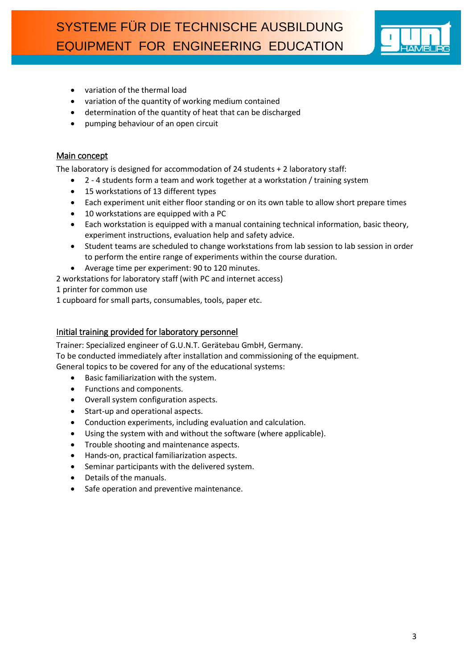

- variation of the thermal load
- variation of the quantity of working medium contained
- determination of the quantity of heat that can be discharged
- pumping behaviour of an open circuit

#### <span id="page-2-0"></span>Main concept

The laboratory is designed for accommodation of 24 students + 2 laboratory staff:

- 2 4 students form a team and work together at a workstation / training system
- 15 workstations of 13 different types
- Each experiment unit either floor standing or on its own table to allow short prepare times
- 10 workstations are equipped with a PC
- Each workstation is equipped with a manual containing technical information, basic theory, experiment instructions, evaluation help and safety advice.
- Student teams are scheduled to change workstations from lab session to lab session in order to perform the entire range of experiments within the course duration.
- Average time per experiment: 90 to 120 minutes.

2 workstations for laboratory staff (with PC and internet access)

1 printer for common use

1 cupboard for small parts, consumables, tools, paper etc.

#### <span id="page-2-1"></span>Initial training provided for laboratory personnel

Trainer: Specialized engineer of G.U.N.T. Gerätebau GmbH, Germany. To be conducted immediately after installation and commissioning of the equipment. General topics to be covered for any of the educational systems:

- Basic familiarization with the system.
- Functions and components.
- Overall system configuration aspects.
- Start-up and operational aspects.
- Conduction experiments, including evaluation and calculation.
- Using the system with and without the software (where applicable).
- Trouble shooting and maintenance aspects.
- Hands-on, practical familiarization aspects.
- Seminar participants with the delivered system.
- Details of the manuals.
- Safe operation and preventive maintenance.